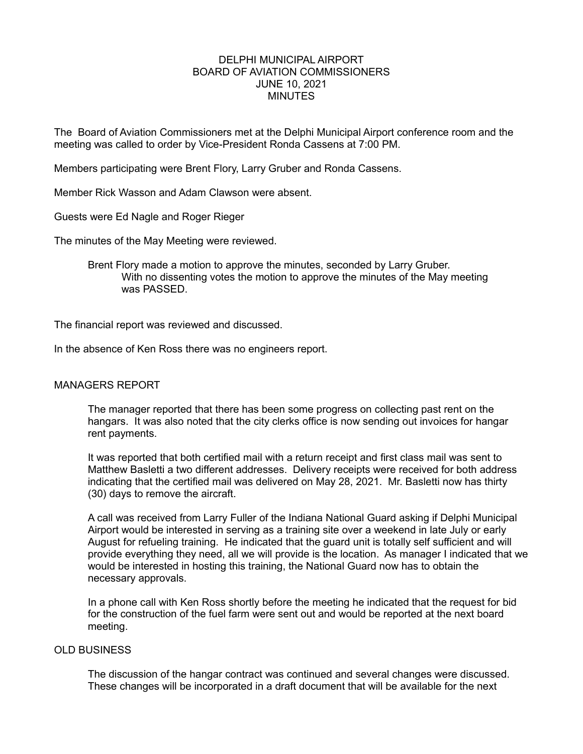# DELPHI MUNICIPAL AIRPORT BOARD OF AVIATION COMMISSIONERS JUNE 10, 2021 **MINUTES**

The Board of Aviation Commissioners met at the Delphi Municipal Airport conference room and the meeting was called to order by Vice-President Ronda Cassens at 7:00 PM.

Members participating were Brent Flory, Larry Gruber and Ronda Cassens.

Member Rick Wasson and Adam Clawson were absent.

Guests were Ed Nagle and Roger Rieger

The minutes of the May Meeting were reviewed.

Brent Flory made a motion to approve the minutes, seconded by Larry Gruber. With no dissenting votes the motion to approve the minutes of the May meeting was PASSED.

The financial report was reviewed and discussed.

In the absence of Ken Ross there was no engineers report.

#### MANAGERS REPORT

The manager reported that there has been some progress on collecting past rent on the hangars. It was also noted that the city clerks office is now sending out invoices for hangar rent payments.

It was reported that both certified mail with a return receipt and first class mail was sent to Matthew Basletti a two different addresses. Delivery receipts were received for both address indicating that the certified mail was delivered on May 28, 2021. Mr. Basletti now has thirty (30) days to remove the aircraft.

A call was received from Larry Fuller of the Indiana National Guard asking if Delphi Municipal Airport would be interested in serving as a training site over a weekend in late July or early August for refueling training. He indicated that the guard unit is totally self sufficient and will provide everything they need, all we will provide is the location. As manager I indicated that we would be interested in hosting this training, the National Guard now has to obtain the necessary approvals.

In a phone call with Ken Ross shortly before the meeting he indicated that the request for bid for the construction of the fuel farm were sent out and would be reported at the next board meeting.

# OLD BUSINESS

The discussion of the hangar contract was continued and several changes were discussed. These changes will be incorporated in a draft document that will be available for the next